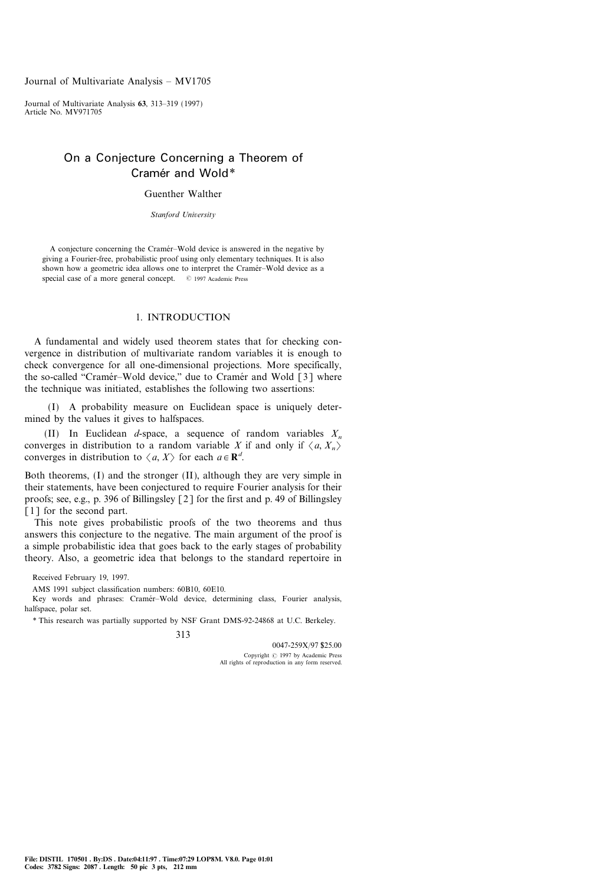# On a Conjecture Concerning a Theorem of Cramér and Wold\*

Guenther Walther

Stanford University

A conjecture concerning the Cramér-Wold device is answered in the negative by giving a Fourier-free, probabilistic proof using only elementary techniques. It is also shown how a geometric idea allows one to interpret the Cramér–Wold device as a special case of a more general concept. © 1997 Academic Press

### 1. INTRODUCTION

A fundamental and widely used theorem states that for checking convergence in distribution of multivariate random variables it is enough to check convergence for all one-dimensional projections. More specifically, the so-called "Cramer-Wold device," due to Cramer and Wold  $\lceil 3 \rceil$  where the technique was initiated, establishes the following two assertions:

(I) A probability measure on Euclidean space is uniquely determined by the values it gives to halfspaces.

(II) In Euclidean d-space, a sequence of random variables  $X_n$ converges in distribution to a random variable X if and only if  $\langle a, X_{n} \rangle$ converges in distribution to  $\langle a, X \rangle$  for each  $a \in \mathbb{R}^d$ .

Both theorems, (I) and the stronger (II), although they are very simple in their statements, have been conjectured to require Fourier analysis for their proofs; see, e.g., p. 396 of Billingsley [2] for the first and p. 49 of Billingsley [1] for the second part.

This note gives probabilistic proofs of the two theorems and thus answers this conjecture to the negative. The main argument of the proof is a simple probabilistic idea that goes back to the early stages of probability theory. Also, a geometric idea that belongs to the standard repertoire in

Received February 19, 1997.

AMS 1991 subject classification numbers: 60B10, 60E10.

Key words and phrases: Cramér-Wold device, determining class, Fourier analysis, halfspace, polar set.

\* This research was partially supported by NSF Grant DMS-92-24868 at U.C. Berkeley.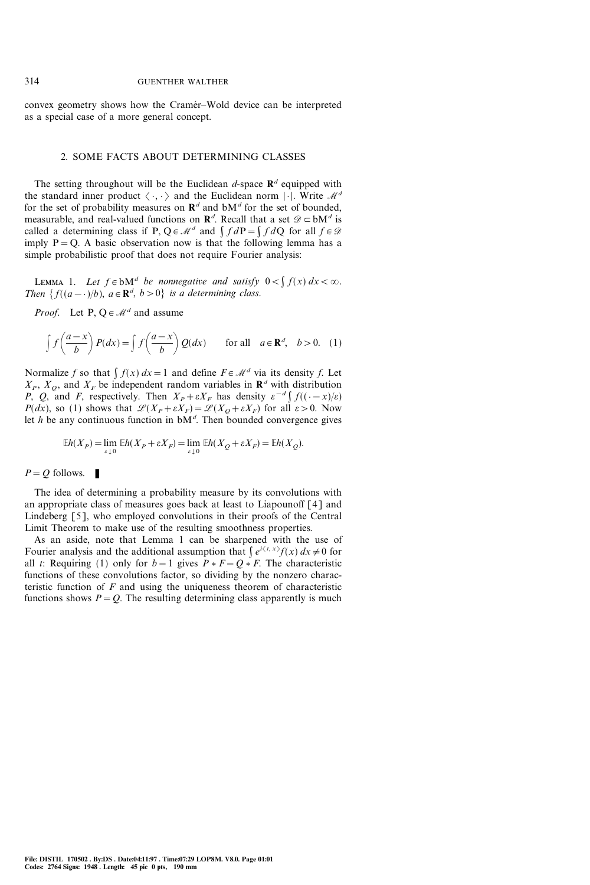convex geometry shows how the Cramér-Wold device can be interpreted as a special case of a more general concept.

## 2. SOME FACTS ABOUT DETERMINING CLASSES

The setting throughout will be the Euclidean d-space  $\mathbb{R}^d$  equipped with the standard inner product  $\langle \cdot, \cdot \rangle$  and the Euclidean norm  $|\cdot|$ . Write  $\mathcal{M}^d$ for the set of probability measures on  $\mathbf{R}^d$  and  $\mathbf{bM}^d$  for the set of bounded, measurable, and real-valued functions on  $\mathbf{R}^d$ . Recall that a set  $\mathcal{D} \subset \mathbf{bM}^d$  is called a determining class if P,  $Q \in \mathcal{M}^d$  and  $\int f dP = \int f dQ$  for all  $f \in \mathcal{D}$ imply  $P = Q$ . A basic observation now is that the following lemma has a simple probabilistic proof that does not require Fourier analysis:

LEMMA 1. Let  $f \in bM^d$  be nonnegative and satisfy  $0 < \int f(x) dx < \infty$ . Then  $\{f((a - \cdot)/b), a \in \mathbb{R}^d, b > 0\}$  is a determining class.

*Proof.* Let P,  $Q \in \mathcal{M}^d$  and assume

$$
\int f\left(\frac{a-x}{b}\right)P(dx) = \int f\left(\frac{a-x}{b}\right)Q(dx) \quad \text{for all} \quad a \in \mathbb{R}^d, \quad b > 0. \tag{1}
$$

Normalize f so that  $\int f(x) dx = 1$  and define  $F \in \mathcal{M}^d$  via its density f. Let  $X_P$ ,  $X_Q$ , and  $X_F$  be independent random variables in  $\mathbf{R}^d$  with distribution P, Q, and F, respectively. Then  $X_p+\varepsilon X_F$  has density  $\varepsilon^{-d}\int f((\cdot-x)/\varepsilon)dx$  $P(dx)$ , so (1) shows that  $\mathcal{L}(X_P+\varepsilon X_F)=\mathcal{L}(X_Q+\varepsilon X_F)$  for all  $\varepsilon>0$ . Now let h be any continuous function in  $bM<sup>d</sup>$ . Then bounded convergence gives

$$
\mathbb{E}h(X_P) = \lim_{\varepsilon \downarrow 0} \mathbb{E}h(X_P + \varepsilon X_F) = \lim_{\varepsilon \downarrow 0} \mathbb{E}h(X_Q + \varepsilon X_F) = \mathbb{E}h(X_Q).
$$

 $P = Q$  follows.

The idea of determining a probability measure by its convolutions with an appropriate class of measures goes back at least to Liapounoff [4] and Lindeberg [5], who employed convolutions in their proofs of the Central Limit Theorem to make use of the resulting smoothness properties.

As an aside, note that Lemma 1 can be sharpened with the use of Fourier analysis and the additional assumption that  $\int e^{i\langle t, x \rangle} f(x) dx \neq 0$  for all t: Requiring (1) only for  $b=1$  gives  $P * F = Q * F$ . The characteristic functions of these convolutions factor, so dividing by the nonzero characteristic function of  $F$  and using the uniqueness theorem of characteristic functions shows  $P = Q$ . The resulting determining class apparently is much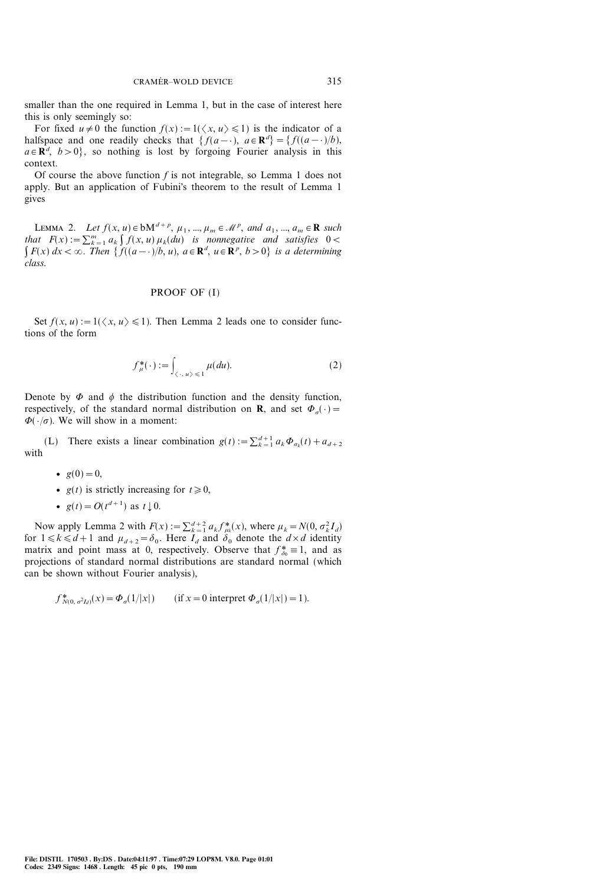smaller than the one required in Lemma 1, but in the case of interest here this is only seemingly so:

For fixed  $u \neq 0$  the function  $f(x) := 1(\langle x, u \rangle \leq 1)$  is the indicator of a halfspace and one readily checks that  $\{f(a-1), a \in \mathbb{R}^d\} = \{f((a-1)/b),$  $a \in \mathbb{R}^d$ ,  $b > 0$ , so nothing is lost by forgoing Fourier analysis in this context.

Of course the above function  $f$  is not integrable, so Lemma 1 does not apply. But an application of Fubini's theorem to the result of Lemma 1 gives

LEMMA 2. Let  $f(x, u) \in bM^{d+p}$ ,  $\mu_1, ..., \mu_m \in \mathcal{M}^p$ , and  $a_1, ..., a_m \in \mathbb{R}$  such that  $F(x) := \sum_{k=1}^{m} a_k \int f(x, u) \mu_k(du)$  is nonnegative and satisfies  $0 <$  $\int F(x) dx < \infty$ . Then  $\{f((a-\cdot)/b, u), a \in \mathbb{R}^d, u \in \mathbb{R}^p, b > 0\}$  is a determining class.

### PROOF OF (I)

Set  $f(x, u) := 1(\langle x, u \rangle \leq 1)$ . Then Lemma 2 leads one to consider functions of the form

$$
f_{\mu}^*(\cdot) := \int_{\langle \cdot, u \rangle \leq 1} \mu(du). \tag{2}
$$

Denote by  $\Phi$  and  $\phi$  the distribution function and the density function, respectively, of the standard normal distribution on **R**, and set  $\Phi_{\sigma}(\cdot)=$  $\Phi(\cdot/\sigma)$ . We will show in a moment:

(L) There exists a linear combination  $g(t) := \sum_{k=1}^{d+1} a_k \Phi_{\sigma_k}(t) + a_{d+2}$ with

- $g(0)=0,$
- $g(t)$  is strictly increasing for  $t\geq0$ ,
- $g(t) = O(t^{d+1})$  as  $t \downarrow 0$ .

Now apply Lemma 2 with  $F(x) := \sum_{k=1}^{d+2} a_k f_{\mu_k}^*(x)$ , where  $\mu_k = N(0, \sigma_k^2 I_d)$ for  $1 \le k \le d+1$  and  $\mu_{d+2}=\delta_0$ . Here  $I_d$  and  $\delta_0$  denote the  $d \times d$  identity matrix and point mass at 0, respectively. Observe that  $f_{\delta_0}^* \equiv 1$ , and as projections of standard normal distributions are standard normal (which can be shown without Fourier analysis),

$$
f_{N(0, \sigma^2 I_d)}^*(x) = \Phi_{\sigma}(1/|x|) \qquad (\text{if } x = 0 \text{ interpret } \Phi_{\sigma}(1/|x|) = 1).
$$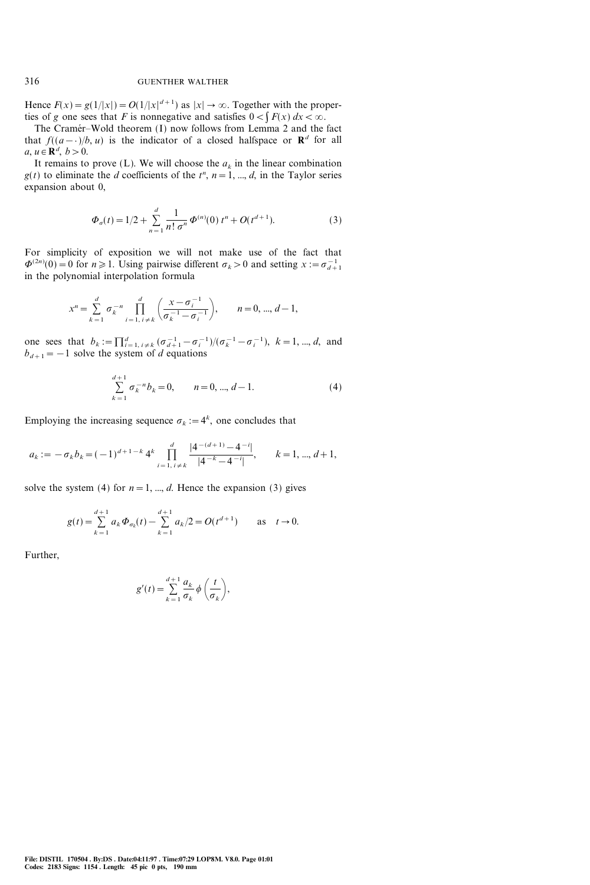Hence  $F(x) = g(1/|x|) = O(1/|x|^{d+1})$  as  $|x| \to \infty$ . Together with the properties of g one sees that F is nonnegative and satisfies  $0 < \int F(x) dx < \infty$ .

The Cramér-Wold theorem (I) now follows from Lemma 2 and the fact that  $f((a-\cdot)/b, u)$  is the indicator of a closed halfspace or  $\mathbb{R}^d$  for all  $a, u \in \mathbf{R}^d, b > 0.$ 

It remains to prove (L). We will choose the  $a_k$  in the linear combination  $g(t)$  to eliminate the *d* coefficients of the  $t^n$ ,  $n = 1, ..., d$ , in the Taylor series expansion about 0,

$$
\Phi_{\sigma}(t) = 1/2 + \sum_{n=1}^{d} \frac{1}{n! \sigma^n} \Phi^{(n)}(0) t^n + O(t^{d+1}).
$$
\n(3)

For simplicity of exposition we will not make use of the fact that  $\Phi^{(2n)}(0) = 0$  for  $n \ge 1$ . Using pairwise different  $\sigma_k > 0$  and setting  $x := \sigma_{d+1}^{-1}$ in the polynomial interpolation formula

$$
x^{n} = \sum_{k=1}^{d} \sigma_{k}^{-n} \prod_{i=1, i \neq k}^{d} \left( \frac{x - \sigma_{i}^{-1}}{\sigma_{k}^{-1} - \sigma_{i}^{-1}} \right), \qquad n = 0, ..., d - 1,
$$

one sees that  $b_k := \prod_{i=1, i \neq k}^d (\sigma_{d+1}^{-1} - \sigma_i^{-1})/(\sigma_k^{-1} - \sigma_i^{-1}), k = 1, ..., d$ , and  $b_{d+1}=-1$  solve the system of d equations

$$
\sum_{k=1}^{d+1} \sigma_k^{-n} b_k = 0, \qquad n = 0, ..., d-1.
$$
 (4)

Employing the increasing sequence  $\sigma_k := 4^k$ , one concludes that

$$
a_k := -\sigma_k b_k = (-1)^{d+1-k} 4^k \prod_{i=1, i \neq k}^d \frac{|4^{-(d+1)} - 4^{-i}|}{|4^{-k} - 4^{-i}|}, \qquad k = 1, ..., d+1,
$$

solve the system (4) for  $n=1, ..., d$ . Hence the expansion (3) gives

$$
g(t) = \sum_{k=1}^{d+1} a_k \Phi_{\sigma_k}(t) - \sum_{k=1}^{d+1} a_k/2 = O(t^{d+1}) \quad \text{as} \quad t \to 0.
$$

Further,

$$
g'(t) = \sum_{k=1}^{d+1} \frac{a_k}{\sigma_k} \phi\left(\frac{t}{\sigma_k}\right),
$$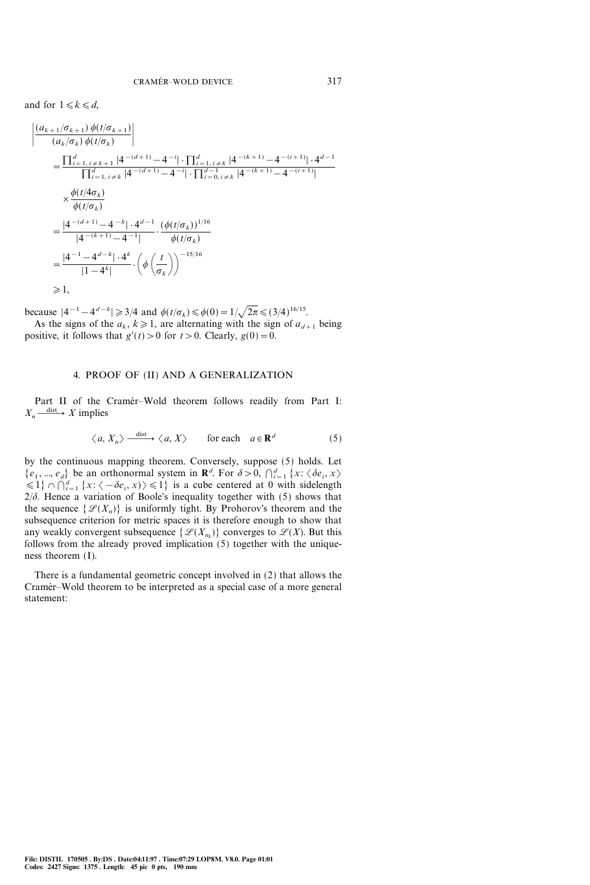and for  $1 \le k \le d$ ,

|<br>|<br>|

$$
\frac{(a_{k+1}/\sigma_{k+1}) \phi(t/\sigma_{k+1})}{(a_k/\sigma_k) \phi(t/\sigma_k)} \Big|
$$
\n
$$
= \frac{\prod_{i=1, i \neq k+1}^d |4^{-(d+1)} - 4^{-i}| \cdot \prod_{i=1, i \neq k}^d |4^{-(k+1)} - 4^{-(i+1)}| \cdot 4^{d-1}}{\prod_{i=1, i \neq k}^d |4^{-(d+1)} - 4^{-i}| \cdot \prod_{i=0, i \neq k}^d |4^{-(k+1)} - 4^{-(i+1)}|}
$$
\n
$$
\times \frac{\phi(t/4\sigma_k)}{\phi(t/\sigma_k)}
$$
\n
$$
= \frac{|4^{-(d+1)} - 4^{-k}| \cdot 4^{d-1}}{|4^{-(k+1)} - 4^{-1}|} \cdot \frac{(\phi(t/\sigma_k))^{1/16}}{\phi(t/\sigma_k)}
$$
\n
$$
= \frac{|4^{-1} - 4^{d-k}| \cdot 4^k}{|1 - 4^k|} \cdot \left(\phi\left(\frac{t}{\sigma_k}\right)\right)^{-15/16}
$$
\n
$$
\geq 1,
$$

because  $|4^{-1} - 4^{d-k}| \ge 3/4$  and  $\phi(t/\sigma_k) \le \phi(0) = 1/\sqrt{2\pi} \le (3/4)^{16/15}$ .

As the signs of the  $a_k$ ,  $k\geq 1$ , are alternating with the sign of  $a_{d+1}$  being positive, it follows that  $g'(t) > 0$  for  $t > 0$ . Clearly,  $g(0) = 0$ .

#### 4. PROOF OF (II) AND A GENERALIZATION

Part II of the Cramér-Wold theorem follows readily from Part I:  $X_n \xrightarrow{\text{dist}} X$  implies

$$
\langle a, X_n \rangle \xrightarrow{\text{dist}} \langle a, X \rangle \qquad \text{for each} \quad a \in \mathbf{R}^d \tag{5}
$$

by the continuous mapping theorem. Conversely, suppose (5) holds. Let  $\{e_1, ..., e_d\}$  be an orthonormal system in  $\mathbf{R}^d$ . For  $\delta > 0$ ,  $\bigcap_{i=1}^d \{x : \langle \delta e_i, x \rangle\}$  $\{1\} \cap \bigcap_{i=1}^d \{x: \langle -\delta e_i, x \rangle\} \leq 1\}$  is a cube centered at 0 with sidelength  $2/\delta$ . Hence a variation of Boole's inequality together with (5) shows that the sequence  $\{\mathcal{L}(X_n)\}\$ is uniformly tight. By Prohorov's theorem and the subsequence criterion for metric spaces it is therefore enough to show that any weakly convergent subsequence  $\{\mathscr{L}(X_{n_k})\}$  converges to  $\mathscr{L}(X)$ . But this follows from the already proved implication (5) together with the uniqueness theorem (I).

There is a fundamental geometric concept involved in (2) that allows the Cramér-Wold theorem to be interpreted as a special case of a more general statement: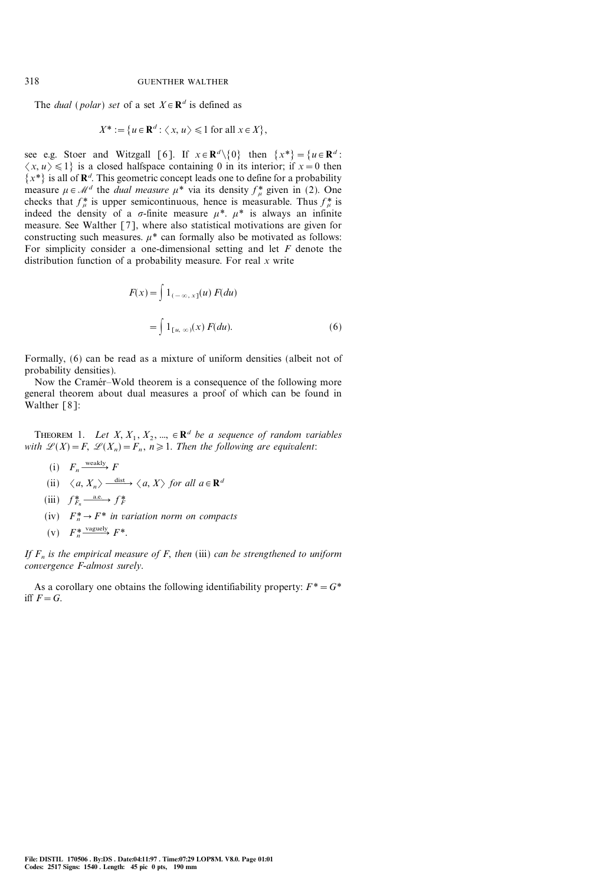The *dual* (*polar*) set of a set  $X \in \mathbb{R}^d$  is defined as

$$
X^* := \{ u \in \mathbf{R}^d : \langle x, u \rangle \leq 1 \text{ for all } x \in X \},
$$

see e.g. Stoer and Witzgall [6]. If  $x \in \mathbb{R}^d \setminus \{0\}$  then  $\{x^*\} = \{u \in \mathbb{R}^d$ :  $\langle x, u \rangle \le 1$  is a closed halfspace containing 0 in its interior; if  $x=0$  then  $\{x^*\}$  is all of  $\mathbb{R}^d$ . This geometric concept leads one to define for a probability measure  $\mu \in \mathcal{M}^d$  the *dual measure*  $\mu^*$  via its density  $f^*_{\mu}$  given in (2). One checks that  $f^*_{\mu}$  is upper semicontinuous, hence is measurable. Thus  $f^*_{\mu}$  is indeed the density of a  $\sigma$ -finite measure  $\mu^*$ .  $\mu^*$  is always an infinite measure. See Walther [7], where also statistical motivations are given for constructing such measures.  $\mu^*$  can formally also be motivated as follows: For simplicity consider a one-dimensional setting and let  $F$  denote the distribution function of a probability measure. For real x write

$$
F(x) = \int 1_{(-\infty, x]}(u) F(du)
$$

$$
= \int 1_{[u, \infty)}(x) F(du).
$$
 (6)

Formally, (6) can be read as a mixture of uniform densities (albeit not of probability densities).

Now the Cramer–Wold theorem is a consequence of the following more general theorem about dual measures a proof of which can be found in Walther [8]:

THEOREM 1. Let  $X, X_1, X_2, ..., \in \mathbf{R}^d$  be a sequence of random variables with  $\mathcal{L}(X)=F$ ,  $\mathcal{L}(X_n)=F_n$ ,  $n\geq 1$ . Then the following are equivalent:

\n- (i) 
$$
F_n \xrightarrow{\text{weakly}} F
$$
\n- (ii)  $\langle a, X_n \rangle \xrightarrow{\text{dist}} \langle a, X \rangle$  for all  $a \in \mathbb{R}^d$
\n- (iii)  $f_{F_n}^* \xrightarrow{\text{a.e.}} f_F^*$
\n- (iv)  $F_n^* \rightarrow F^*$  in variation norm on compacts
\n- (v)  $F_n^* \xrightarrow{\text{vaguely}} F^*$
\n

If  $F_n$  is the empirical measure of F, then (iii) can be strengthened to uniform convergence F-almost surely.

As a corollary one obtains the following identifiability property:  $F^* = G^*$ iff  $F=G$ .